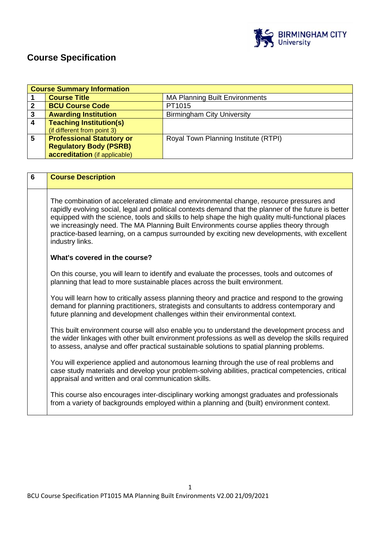

# **Course Specification**

|   | <b>Course Summary Information</b> |                                       |  |
|---|-----------------------------------|---------------------------------------|--|
|   | <b>Course Title</b>               | <b>MA Planning Built Environments</b> |  |
| 2 | <b>BCU Course Code</b>            | PT1015                                |  |
| 3 | <b>Awarding Institution</b>       | <b>Birmingham City University</b>     |  |
|   | <b>Teaching Institution(s)</b>    |                                       |  |
|   | (if different from point 3)       |                                       |  |
| 5 | <b>Professional Statutory or</b>  | Royal Town Planning Institute (RTPI)  |  |
|   | <b>Regulatory Body (PSRB)</b>     |                                       |  |
|   | accreditation (if applicable)     |                                       |  |

| 6 | <b>Course Description</b>                                                                                                                                                                                                                                                                                                                                                                                                                                                                                           |
|---|---------------------------------------------------------------------------------------------------------------------------------------------------------------------------------------------------------------------------------------------------------------------------------------------------------------------------------------------------------------------------------------------------------------------------------------------------------------------------------------------------------------------|
|   | The combination of accelerated climate and environmental change, resource pressures and<br>rapidly evolving social, legal and political contexts demand that the planner of the future is better<br>equipped with the science, tools and skills to help shape the high quality multi-functional places<br>we increasingly need. The MA Planning Built Environments course applies theory through<br>practice-based learning, on a campus surrounded by exciting new developments, with excellent<br>industry links. |
|   | What's covered in the course?                                                                                                                                                                                                                                                                                                                                                                                                                                                                                       |
|   | On this course, you will learn to identify and evaluate the processes, tools and outcomes of<br>planning that lead to more sustainable places across the built environment.                                                                                                                                                                                                                                                                                                                                         |
|   | You will learn how to critically assess planning theory and practice and respond to the growing<br>demand for planning practitioners, strategists and consultants to address contemporary and<br>future planning and development challenges within their environmental context.                                                                                                                                                                                                                                     |
|   | This built environment course will also enable you to understand the development process and<br>the wider linkages with other built environment professions as well as develop the skills required<br>to assess, analyse and offer practical sustainable solutions to spatial planning problems.                                                                                                                                                                                                                    |
|   | You will experience applied and autonomous learning through the use of real problems and<br>case study materials and develop your problem-solving abilities, practical competencies, critical<br>appraisal and written and oral communication skills.                                                                                                                                                                                                                                                               |
|   | This course also encourages inter-disciplinary working amongst graduates and professionals<br>from a variety of backgrounds employed within a planning and (built) environment context.                                                                                                                                                                                                                                                                                                                             |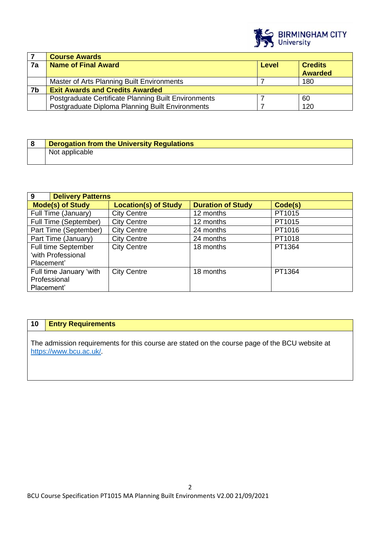

|    | <b>Course Awards</b>                                 |       |                                  |
|----|------------------------------------------------------|-------|----------------------------------|
| 7a | <b>Name of Final Award</b>                           | Level | <b>Credits</b><br><b>Awarded</b> |
|    | Master of Arts Planning Built Environments           |       | 180                              |
| 7b | <b>Exit Awards and Credits Awarded</b>               |       |                                  |
|    | Postgraduate Certificate Planning Built Environments |       | 60                               |
|    | Postgraduate Diploma Planning Built Environments     |       | 120                              |

| <b>Derogation from the University Regulations</b> |
|---------------------------------------------------|
| Not applicable                                    |

| 9<br><b>Delivery Patterns</b>                         |                             |                          |         |
|-------------------------------------------------------|-----------------------------|--------------------------|---------|
| <b>Mode(s) of Study</b>                               | <b>Location(s) of Study</b> | <b>Duration of Study</b> | Code(s) |
| Full Time (January)                                   | <b>City Centre</b>          | 12 months                | PT1015  |
| Full Time (September)                                 | <b>City Centre</b>          | 12 months                | PT1015  |
| Part Time (September)                                 | <b>City Centre</b>          | 24 months                | PT1016  |
| Part Time (January)                                   | <b>City Centre</b>          | 24 months                | PT1018  |
| Full time September<br>'with Professional             | <b>City Centre</b>          | 18 months                | PT1364  |
| Placement'                                            |                             |                          |         |
| Full time January 'with<br>Professional<br>Placement' | <b>City Centre</b>          | 18 months                | PT1364  |

### **10 Entry Requirements**

The admission requirements for this course are stated on the course page of the BCU website at <https://www.bcu.ac.uk/>.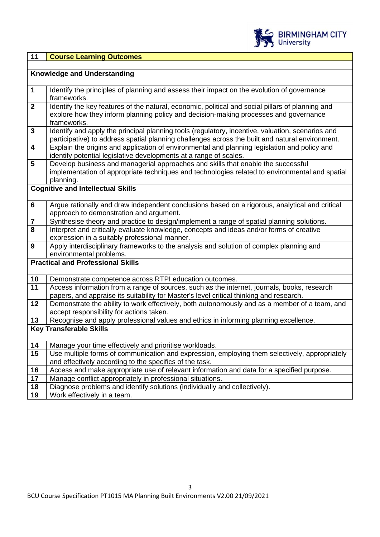

## **11 Course Learning Outcomes**

|                         | <b>Knowledge and Understanding</b>                                                               |
|-------------------------|--------------------------------------------------------------------------------------------------|
|                         |                                                                                                  |
| $\mathbf 1$             | Identify the principles of planning and assess their impact on the evolution of governance       |
|                         | frameworks.                                                                                      |
| $\overline{2}$          | Identify the key features of the natural, economic, political and social pillars of planning and |
|                         | explore how they inform planning policy and decision-making processes and governance             |
|                         | frameworks.                                                                                      |
| $\overline{\mathbf{3}}$ | Identify and apply the principal planning tools (regulatory, incentive, valuation, scenarios and |
|                         | participative) to address spatial planning challenges across the built and natural environment.  |
| 4                       | Explain the origins and application of environmental and planning legislation and policy and     |
|                         | identify potential legislative developments at a range of scales.                                |
| 5                       | Develop business and managerial approaches and skills that enable the successful                 |
|                         | implementation of appropriate techniques and technologies related to environmental and spatial   |
|                         | planning.                                                                                        |
|                         | <b>Cognitive and Intellectual Skills</b>                                                         |
|                         |                                                                                                  |
| 6                       | Argue rationally and draw independent conclusions based on a rigorous, analytical and critical   |
|                         | approach to demonstration and argument.                                                          |
| $\overline{\mathbf{r}}$ | Synthesise theory and practice to design/implement a range of spatial planning solutions.        |
| 8                       | Interpret and critically evaluate knowledge, concepts and ideas and/or forms of creative         |
|                         | expression in a suitably professional manner.                                                    |
| 9                       | Apply interdisciplinary frameworks to the analysis and solution of complex planning and          |
|                         | environmental problems.<br><b>Practical and Professional Skills</b>                              |
|                         |                                                                                                  |
| 10                      | Demonstrate competence across RTPI education outcomes.                                           |
| 11                      | Access information from a range of sources, such as the internet, journals, books, research      |
|                         | papers, and appraise its suitability for Master's level critical thinking and research.          |
| 12                      | Demonstrate the ability to work effectively, both autonomously and as a member of a team, and    |
|                         | accept responsibility for actions taken.                                                         |
| 13                      | Recognise and apply professional values and ethics in informing planning excellence.             |
|                         | <b>Key Transferable Skills</b>                                                                   |
|                         |                                                                                                  |
| 14                      | Manage your time effectively and prioritise workloads.                                           |
| 15                      | Use multiple forms of communication and expression, employing them selectively, appropriately    |
|                         | and effectively according to the specifics of the task.                                          |
| 16                      | Access and make appropriate use of relevant information and data for a specified purpose.        |
| 17                      | Manage conflict appropriately in professional situations.                                        |
| 18                      | Diagnose problems and identify solutions (individually and collectively).                        |
| 19                      | Work effectively in a team.                                                                      |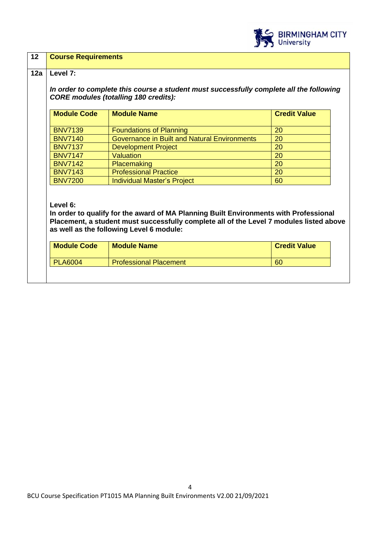

#### **12 Course Requirements**

#### **12a Level 7:**

*In order to complete this course a student must successfully complete all the following CORE modules (totalling 180 credits):*

| <b>Module Code</b> | <b>Module Name</b>                                  | <b>Credit Value</b> |
|--------------------|-----------------------------------------------------|---------------------|
|                    |                                                     |                     |
| <b>BNV7139</b>     | <b>Foundations of Planning</b>                      | 20                  |
| <b>BNV7140</b>     | <b>Governance in Built and Natural Environments</b> | 20                  |
| <b>BNV7137</b>     | <b>Development Project</b>                          | <b>20</b>           |
| <b>BNV7147</b>     | <b>Valuation</b>                                    | <b>20</b>           |
| <b>BNV7142</b>     | Placemaking                                         | <b>20</b>           |
| <b>BNV7143</b>     | <b>Professional Practice</b>                        | 20                  |
| <b>BNV7200</b>     | <b>Individual Master's Project</b>                  | 60                  |

#### **Level 6:**

**In order to qualify for the award of MA Planning Built Environments with Professional Placement, a student must successfully complete all of the Level 7 modules listed above as well as the following Level 6 module:**

| <b>Professional Placement</b><br><b>PLA6004</b><br><b>60</b> |  |
|--------------------------------------------------------------|--|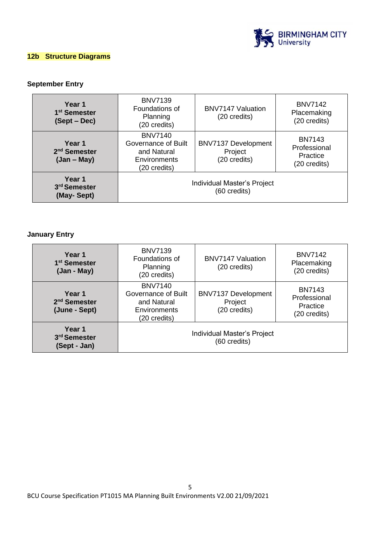

### **12b Structure Diagrams**

### **September Entry**

| Year 1<br>1 <sup>st</sup> Semester<br>(Sept – Dec)  | <b>BNV7139</b><br>Foundations of<br>Planning<br>(20 credits)                         | <b>BNV7147 Valuation</b><br>(20 credits)              | <b>BNV7142</b><br>Placemaking<br>(20 credits)             |
|-----------------------------------------------------|--------------------------------------------------------------------------------------|-------------------------------------------------------|-----------------------------------------------------------|
| Year 1<br>2 <sup>nd</sup> Semester<br>$(Jan - May)$ | <b>BNV7140</b><br>Governance of Built<br>and Natural<br>Environments<br>(20 credits) | <b>BNV7137 Development</b><br>Project<br>(20 credits) | <b>BN7143</b><br>Professional<br>Practice<br>(20 credits) |
| Year 1<br>3rd Semester<br>(May-Sept)                | Individual Master's Project<br>(60 credits)                                          |                                                       |                                                           |

### **January Entry**

| Year 1<br>1 <sup>st</sup> Semester<br>(Jan - May)   | <b>BNV7139</b><br>Foundations of<br>Planning<br>(20 credits)                         | <b>BNV7147 Valuation</b><br>(20 credits)       | <b>BNV7142</b><br>Placemaking<br>(20 credits)             |
|-----------------------------------------------------|--------------------------------------------------------------------------------------|------------------------------------------------|-----------------------------------------------------------|
| Year 1<br>2 <sup>nd</sup> Semester<br>(June - Sept) | <b>BNV7140</b><br>Governance of Built<br>and Natural<br>Environments<br>(20 credits) | BNV7137 Development<br>Project<br>(20 credits) | <b>BN7143</b><br>Professional<br>Practice<br>(20 credits) |
| Year 1<br>3 <sup>rd</sup> Semester<br>(Sept - Jan)  | Individual Master's Project<br>(60 credits)                                          |                                                |                                                           |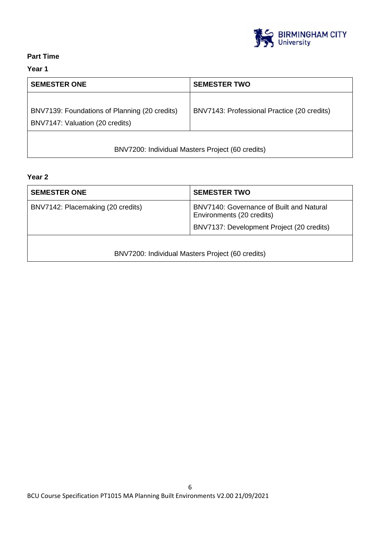

### **Part Time**

### **Year 1**

| <b>SEMESTER ONE</b>                                                              | <b>SEMESTER TWO</b>                         |  |
|----------------------------------------------------------------------------------|---------------------------------------------|--|
| BNV7139: Foundations of Planning (20 credits)<br>BNV7147: Valuation (20 credits) | BNV7143: Professional Practice (20 credits) |  |
| BNV7200: Individual Masters Project (60 credits)                                 |                                             |  |

### **Year 2**

| <b>SEMESTER ONE</b>               | <b>SEMESTER TWO</b>                                                                                                |
|-----------------------------------|--------------------------------------------------------------------------------------------------------------------|
| BNV7142: Placemaking (20 credits) | BNV7140: Governance of Built and Natural<br>Environments (20 credits)<br>BNV7137: Development Project (20 credits) |
|                                   | BNV7200: Individual Masters Project (60 credits)                                                                   |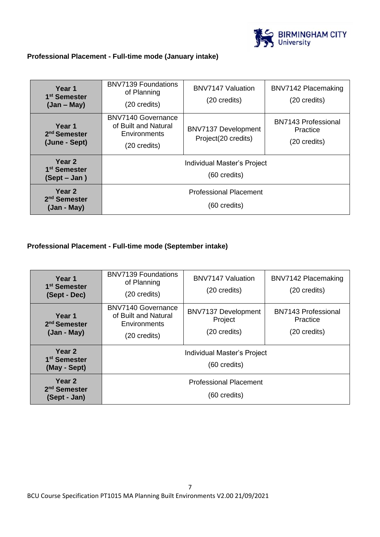

### **Professional Placement - Full-time mode (January intake)**

| Year 1<br>1 <sup>st</sup> Semester<br>$(Jan - May)$             | <b>BNV7139 Foundations</b><br>of Planning<br>(20 credits)                  | <b>BNV7147 Valuation</b><br>$(20 \text{ credits})$ | BNV7142 Placemaking<br>(20 credits)                    |
|-----------------------------------------------------------------|----------------------------------------------------------------------------|----------------------------------------------------|--------------------------------------------------------|
| Year 1<br>2 <sup>nd</sup> Semester<br>(June - Sept)             | BNV7140 Governance<br>of Built and Natural<br>Environments<br>(20 credits) | BNV7137 Development<br>Project(20 credits)         | <b>BN7143 Professional</b><br>Practice<br>(20 credits) |
| Year <sub>2</sub><br>1 <sup>st</sup> Semester<br>$(Sept - Jan)$ | Individual Master's Project<br>(60 credits)                                |                                                    |                                                        |
| Year <sub>2</sub><br>2 <sup>nd</sup> Semester<br>(Jan - May)    | <b>Professional Placement</b><br>(60 credits)                              |                                                    |                                                        |

### **Professional Placement - Full-time mode (September intake)**

| Year 1<br>1 <sup>st</sup> Semester<br>(Sept - Dec) | <b>BNV7139 Foundations</b><br>of Planning<br>(20 credits)                         | <b>BNV7147 Valuation</b><br>(20 credits)              | BNV7142 Placemaking<br>(20 credits)                    |
|----------------------------------------------------|-----------------------------------------------------------------------------------|-------------------------------------------------------|--------------------------------------------------------|
| Year 1<br>2 <sup>nd</sup> Semester<br>(Jan - May)  | <b>BNV7140 Governance</b><br>of Built and Natural<br>Environments<br>(20 credits) | <b>BNV7137 Development</b><br>Project<br>(20 credits) | <b>BN7143 Professional</b><br>Practice<br>(20 credits) |
| Year 2<br>1 <sup>st</sup> Semester<br>(May - Sept) | Individual Master's Project<br>(60 credits)                                       |                                                       |                                                        |
| Year 2<br>2 <sup>nd</sup> Semester<br>(Sept - Jan) | <b>Professional Placement</b><br>(60 credits)                                     |                                                       |                                                        |